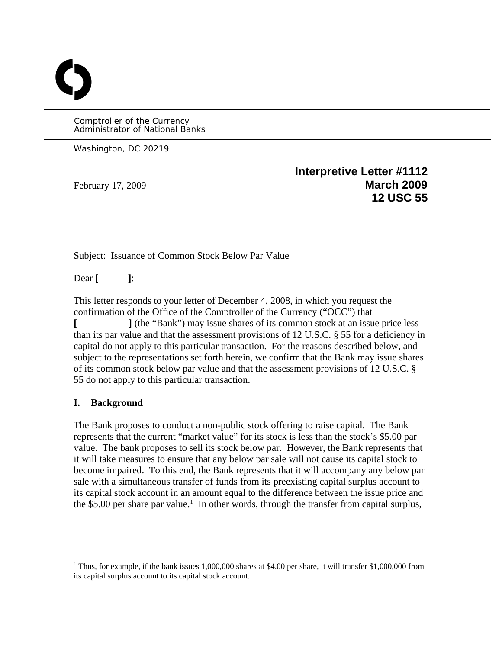Comptroller of the Currency Administrator of National Banks

Washington, DC 20219

O

**Interpretive Letter #1112**  February 17, 2009 **March 2009 12 USC 55**

Subject: Issuance of Common Stock Below Par Value

Dear **[ ]**:

This letter responds to your letter of December 4, 2008, in which you request the confirmation of the Office of the Comptroller of the Currency ("OCC") that **[ ]** (the "Bank") may issue shares of its common stock at an issue price less than its par value and that the assessment provisions of 12 U.S.C. § 55 for a deficiency in capital do not apply to this particular transaction. For the reasons described below, and subject to the representations set forth herein, we confirm that the Bank may issue shares of its common stock below par value and that the assessment provisions of 12 U.S.C. § 55 do not apply to this particular transaction.

#### **I. Background**

 $\overline{a}$ 

The Bank proposes to conduct a non-public stock offering to raise capital. The Bank represents that the current "market value" for its stock is less than the stock's \$5.00 par value. The bank proposes to sell its stock below par. However, the Bank represents that it will take measures to ensure that any below par sale will not cause its capital stock to become impaired. To this end, the Bank represents that it will accompany any below par sale with a simultaneous transfer of funds from its preexisting capital surplus account to its capital stock account in an amount equal to the difference between the issue price and the \$5.00 per share par value.<sup>[1](#page-0-0)</sup> In other words, through the transfer from capital surplus,

<span id="page-0-0"></span><sup>&</sup>lt;sup>1</sup> Thus, for example, if the bank issues 1,000,000 shares at \$4.00 per share, it will transfer \$1,000,000 from its capital surplus account to its capital stock account.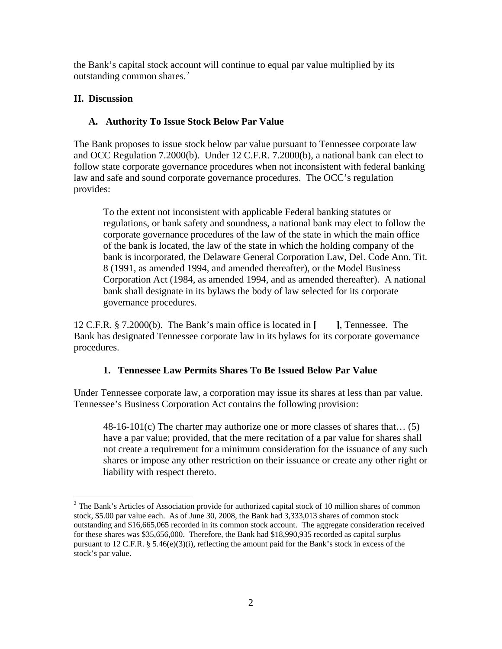the Bank's capital stock account will continue to equal par value multiplied by its outstanding common shares.<sup>[2](#page-1-0)</sup>

## **II. Discussion**

# **A. Authority To Issue Stock Below Par Value**

The Bank proposes to issue stock below par value pursuant to Tennessee corporate law and OCC Regulation 7.2000(b). Under 12 C.F.R. 7.2000(b), a national bank can elect to follow state corporate governance procedures when not inconsistent with federal banking law and safe and sound corporate governance procedures. The OCC's regulation provides:

To the extent not inconsistent with applicable Federal banking statutes or regulations, or bank safety and soundness, a national bank may elect to follow the corporate governance procedures of the law of the state in which the main office of the bank is located, the law of the state in which the holding company of the bank is incorporated, the Delaware General Corporation Law, Del. Code Ann. Tit. 8 (1991, as amended 1994, and amended thereafter), or the Model Business Corporation Act (1984, as amended 1994, and as amended thereafter). A national bank shall designate in its bylaws the body of law selected for its corporate governance procedures.

12 C.F.R. § 7.2000(b). The Bank's main office is located in **[ ]**, Tennessee. The Bank has designated Tennessee corporate law in its bylaws for its corporate governance procedures.

### **1. Tennessee Law Permits Shares To Be Issued Below Par Value**

Under Tennessee corporate law, a corporation may issue its shares at less than par value. Tennessee's Business Corporation Act contains the following provision:

48-16-101(c) The charter may authorize one or more classes of shares that… (5) have a par value; provided, that the mere recitation of a par value for shares shall not create a requirement for a minimum consideration for the issuance of any such shares or impose any other restriction on their issuance or create any other right or liability with respect thereto.

<span id="page-1-0"></span><sup>1</sup> <sup>2</sup> The Bank's Articles of Association provide for authorized capital stock of 10 million shares of common stock, \$5.00 par value each. As of June 30, 2008, the Bank had 3,333,013 shares of common stock outstanding and \$16,665,065 recorded in its common stock account. The aggregate consideration received for these shares was \$35,656,000. Therefore, the Bank had \$18,990,935 recorded as capital surplus pursuant to 12 C.F.R. §  $5.46(e)(3)(i)$ , reflecting the amount paid for the Bank's stock in excess of the stock's par value.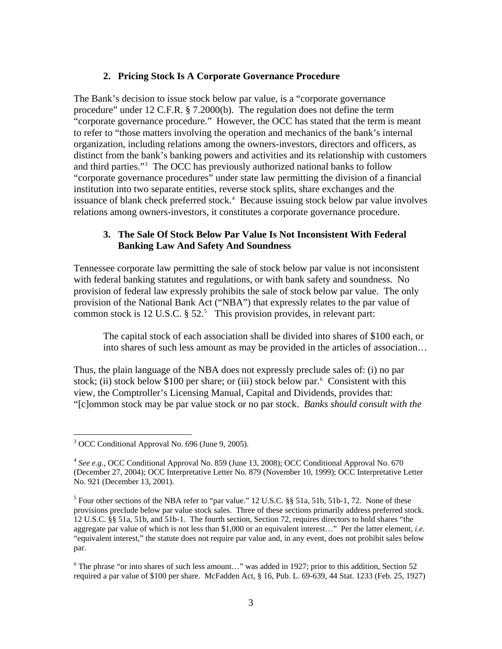#### **2. Pricing Stock Is A Corporate Governance Procedure**

The Bank's decision to issue stock below par value, is a "corporate governance procedure" under 12 C.F.R. § 7.2000(b). The regulation does not define the term "corporate governance procedure." However, the OCC has stated that the term is meant to refer to "those matters involving the operation and mechanics of the bank's internal organization, including relations among the owners-investors, directors and officers, as distinct from the bank's banking powers and activities and its relationship with customers and third parties."[3](#page-2-0) The OCC has previously authorized national banks to follow "corporate governance procedures" under state law permitting the division of a financial institution into two separate entities, reverse stock splits, share exchanges and the issuance of blank check preferred stock.<sup>[4](#page-2-1)</sup> Because issuing stock below par value involves relations among owners-investors, it constitutes a corporate governance procedure.

### **3. The Sale Of Stock Below Par Value Is Not Inconsistent With Federal Banking Law And Safety And Soundness**

Tennessee corporate law permitting the sale of stock below par value is not inconsistent with federal banking statutes and regulations, or with bank safety and soundness. No provision of federal law expressly prohibits the sale of stock below par value. The only provision of the National Bank Act ("NBA") that expressly relates to the par value of common stock is 12 U.S.C.  $\S 52$  $\S 52$  $\S 52$ .<sup>5</sup> This provision provides, in relevant part:

The capital stock of each association shall be divided into shares of \$100 each, or into shares of such less amount as may be provided in the articles of association…

Thus, the plain language of the NBA does not expressly preclude sales of: (i) no par stock; (ii) stock below \$100 per share; or (iii) stock below par. $6$  Consistent with this view, the Comptroller's Licensing Manual, Capital and Dividends, provides that: "[c]ommon stock may be par value stock or no par stock. *Banks should consult with the* 

 $\overline{a}$ 

<span id="page-2-3"></span><sup>6</sup> The phrase "or into shares of such less amount..." was added in 1927; prior to this addition, Section 52 required a par value of \$100 per share. McFadden Act, § 16, Pub. L. 69-639, 44 Stat. 1233 (Feb. 25, 1927)

<span id="page-2-0"></span><sup>&</sup>lt;sup>3</sup> OCC Conditional Approval No. 696 (June 9, 2005).

<span id="page-2-1"></span><sup>4</sup> *See e.g.*, OCC Conditional Approval No. 859 (June 13, 2008); OCC Conditional Approval No. 670 (December 27, 2004); OCC Interpretative Letter No. 879 (November 10, 1999); OCC Interpretative Letter No. 921 (December 13, 2001).

<span id="page-2-2"></span><sup>&</sup>lt;sup>5</sup> Four other sections of the NBA refer to "par value." 12 U.S.C.  $\S$ § 51a, 51b, 51b-1, 72. None of these provisions preclude below par value stock sales. Three of these sections primarily address preferred stock. 12 U.S.C. §§ 51a, 51b, and 51b-1. The fourth section, Section 72, requires directors to hold shares "the aggregate par value of which is not less than \$1,000 or an equivalent interest…" Per the latter element, *i.e.* "equivalent interest," the statute does not require par value and, in any event, does not prohibit sales below par.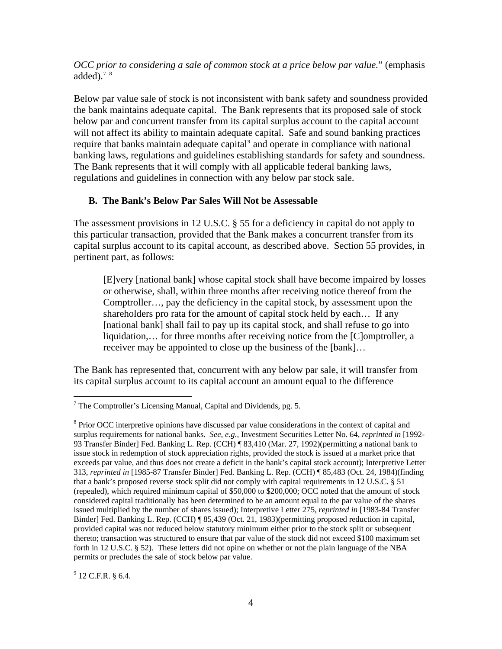*OCC prior to considering a sale of common stock at a price below par value.*" (emphasis added). $78$  $78$ 

Below par value sale of stock is not inconsistent with bank safety and soundness provided the bank maintains adequate capital. The Bank represents that its proposed sale of stock below par and concurrent transfer from its capital surplus account to the capital account will not affect its ability to maintain adequate capital. Safe and sound banking practices require that banks maintain adequate capital<sup>[9](#page-3-2)</sup> and operate in compliance with national banking laws, regulations and guidelines establishing standards for safety and soundness. The Bank represents that it will comply with all applicable federal banking laws, regulations and guidelines in connection with any below par stock sale.

### **B. The Bank's Below Par Sales Will Not be Assessable**

The assessment provisions in 12 U.S.C. § 55 for a deficiency in capital do not apply to this particular transaction, provided that the Bank makes a concurrent transfer from its capital surplus account to its capital account, as described above. Section 55 provides, in pertinent part, as follows:

[E]very [national bank] whose capital stock shall have become impaired by losses or otherwise, shall, within three months after receiving notice thereof from the Comptroller…, pay the deficiency in the capital stock, by assessment upon the shareholders pro rata for the amount of capital stock held by each… If any [national bank] shall fail to pay up its capital stock, and shall refuse to go into liquidation,… for three months after receiving notice from the [C]omptroller, a receiver may be appointed to close up the business of the [bank]…

The Bank has represented that, concurrent with any below par sale, it will transfer from its capital surplus account to its capital account an amount equal to the difference

<span id="page-3-2"></span> $9$  12 C.F.R. § 6.4.

<span id="page-3-0"></span><sup>1</sup>  $7$  The Comptroller's Licensing Manual, Capital and Dividends, pg. 5.

<span id="page-3-1"></span><sup>&</sup>lt;sup>8</sup> Prior OCC interpretive opinions have discussed par value considerations in the context of capital and surplus requirements for national banks. *See, e.g.,* Investment Securities Letter No. 64, *reprinted in* [1992- 93 Transfer Binder] Fed. Banking L. Rep. (CCH) ¶ 83,410 (Mar. 27, 1992)(permitting a national bank to issue stock in redemption of stock appreciation rights, provided the stock is issued at a market price that exceeds par value, and thus does not create a deficit in the bank's capital stock account); Interpretive Letter 313, *reprinted in* [1985-87 Transfer Binder] Fed. Banking L. Rep. (CCH) ¶ 85,483 (Oct. 24, 1984)(finding that a bank's proposed reverse stock split did not comply with capital requirements in 12 U.S.C. § 51 (repealed), which required minimum capital of \$50,000 to \$200,000; OCC noted that the amount of stock considered capital traditionally has been determined to be an amount equal to the par value of the shares issued multiplied by the number of shares issued); Interpretive Letter 275, *reprinted in* [1983-84 Transfer Binder] Fed. Banking L. Rep. (CCH) ¶ 85,439 (Oct. 21, 1983)(permitting proposed reduction in capital, provided capital was not reduced below statutory minimum either prior to the stock split or subsequent thereto; transaction was structured to ensure that par value of the stock did not exceed \$100 maximum set forth in 12 U.S.C. § 52). These letters did not opine on whether or not the plain language of the NBA permits or precludes the sale of stock below par value.